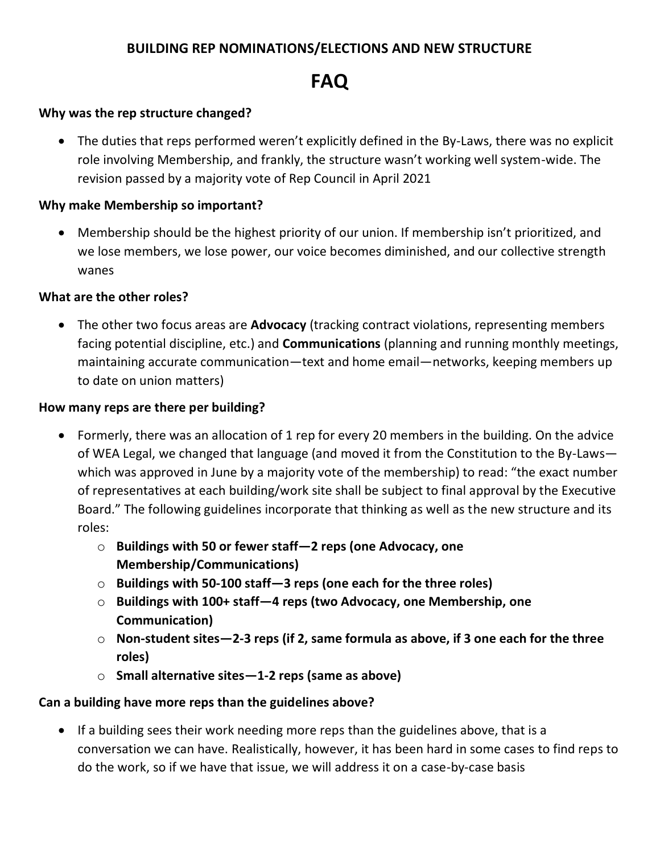# **BUILDING REP NOMINATIONS/ELECTIONS AND NEW STRUCTURE**

# **FAQ**

### **Why was the rep structure changed?**

• The duties that reps performed weren't explicitly defined in the By-Laws, there was no explicit role involving Membership, and frankly, the structure wasn't working well system-wide. The revision passed by a majority vote of Rep Council in April 2021

## **Why make Membership so important?**

• Membership should be the highest priority of our union. If membership isn't prioritized, and we lose members, we lose power, our voice becomes diminished, and our collective strength wanes

# **What are the other roles?**

• The other two focus areas are **Advocacy** (tracking contract violations, representing members facing potential discipline, etc.) and **Communications** (planning and running monthly meetings, maintaining accurate communication—text and home email—networks, keeping members up to date on union matters)

# **How many reps are there per building?**

- Formerly, there was an allocation of 1 rep for every 20 members in the building. On the advice of WEA Legal, we changed that language (and moved it from the Constitution to the By-Laws which was approved in June by a majority vote of the membership) to read: "the exact number of representatives at each building/work site shall be subject to final approval by the Executive Board." The following guidelines incorporate that thinking as well as the new structure and its roles:
	- o **Buildings with 50 or fewer staff—2 reps (one Advocacy, one Membership/Communications)**
	- o **Buildings with 50-100 staff—3 reps (one each for the three roles)**
	- o **Buildings with 100+ staff—4 reps (two Advocacy, one Membership, one Communication)**
	- o **Non-student sites—2-3 reps (if 2, same formula as above, if 3 one each for the three roles)**
	- o **Small alternative sites—1-2 reps (same as above)**

# **Can a building have more reps than the guidelines above?**

• If a building sees their work needing more reps than the guidelines above, that is a conversation we can have. Realistically, however, it has been hard in some cases to find reps to do the work, so if we have that issue, we will address it on a case-by-case basis